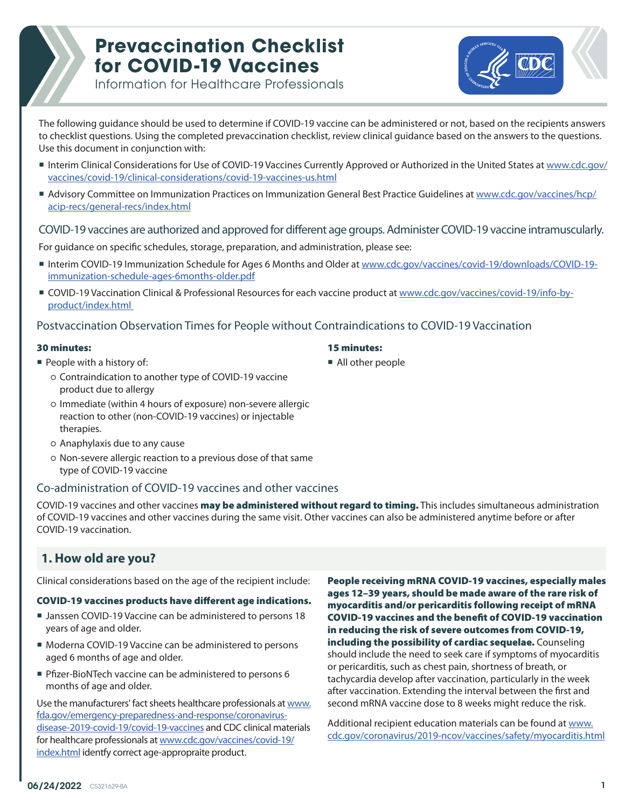

Information for Healthcare Professionals

The following guidance should be used to determine if COVID-19 vaccine can be administered or not, based on the recipients answers to checklist questions. Using the completed prevaccination checklist, review clinical guidance based on the answers to the questions. Use this document in conjunction with:

- Interim Clinical Considerations for Use of COVID-19 Vaccines Currently Approved or Authorized in the United States at [www.cdc.gov/](https://www.cdc.gov/vaccines/covid-19/clinical-considerations/covid-19-vaccines-us.html) [vaccines/covid-19/clinical-considerations/covid-19-vaccines-us.html](https://www.cdc.gov/vaccines/covid-19/clinical-considerations/covid-19-vaccines-us.html)
- Advisory Committee on Immunization Practices on Immunization General Best Practice Guidelines at [www.cdc.gov/vaccines/hcp/](https://www.cdc.gov/vaccines/hcp/acip-recs/general-recs/index.html) [acip-recs/general-recs/index.html](https://www.cdc.gov/vaccines/hcp/acip-recs/general-recs/index.html)

#### COVID-19 vaccines are authorized and approved for different age groups. Administer COVID-19 vaccine intramuscularly.

For guidance on specific schedules, storage, preparation, and administration, please see:

- Interim COVID-19 Immunization Schedule for Ages 6 Months and Older at www.cdc.gov/vaccines/covid-19/downloads/COVID-19immunization-schedule-ages-6months-older.pdf
- COVID-19 Vaccination Clinical & Professional Resources for each vaccine product at [www.cdc.gov/vaccines/covid-19/info-by](https://www.cdc.gov/vaccines/covid-19/info-by-product/index.html)[product/index.html](https://www.cdc.gov/vaccines/covid-19/info-by-product/index.html)

#### Postvaccination Observation Times for People without Contraindications to COVID-19 Vaccination

#### 30 minutes:

15 minutes:

- $\blacksquare$  People with a history of:
	- Contraindication to another type of COVID-19 vaccine product due to allergy
	- Immediate (within 4 hours of exposure) non-severe allergic reaction to other (non-COVID-19 vaccines) or injectable therapies.
	- Anaphylaxis due to any cause
	- Non-severe allergic reaction to a previous dose of that same type of COVID-19 vaccine

#### Co-administration of COVID-19 vaccines and other vaccines

COVID-19 vaccines and other vaccines may be administered without regard to timing. This includes simultaneous administration of COVID-19 vaccines and other vaccines during the same visit. Other vaccines can also be administered anytime before or after COVID-19 vaccination.

# **1. How old are you?**

Clinical considerations based on the age of the recipient include:

#### COVID-19 vaccines products have different age indications.

- Janssen COVID-19 Vaccine can be administered to persons 18 years of age and older.
- Moderna COVID-19 Vaccine can be administered to persons aged 6 months of age and older.
- Pfizer-BioNTech vaccine can be administered to persons 6 months of age and older.

Use the manufacturers' fact sheets healthcare professionals at [www.](https://www.fda.gov/emergency-preparedness-and-response/coronavirus-disease-2019-covid-19/covid-19-vaccines) [fda.gov/emergency-preparedness-and-response/coronavirus](https://www.fda.gov/emergency-preparedness-and-response/coronavirus-disease-2019-covid-19/covid-19-vaccines)[disease-2019-covid-19/covid-19-vaccines](https://www.fda.gov/emergency-preparedness-and-response/coronavirus-disease-2019-covid-19/covid-19-vaccines) and CDC clinical materials for healthcare professionals at [www.cdc.gov/vaccines/covid-19/](https://www.cdc.gov/vaccines/covid-19/index.html) [index.html](https://www.cdc.gov/vaccines/covid-19/index.html) identfy correct age-appropraite product.

People receiving mRNA COVID-19 vaccines, especially males ages 12–39 years, should be made aware of the rare risk of myocarditis and/or pericarditis following receipt of mRNA COVID-19 vaccines and the benefit of COVID-19 vaccination in reducing the risk of severe outcomes from COVID-19, including the possibility of cardiac sequelae. Counseling should include the need to seek care if symptoms of myocarditis or pericarditis, such as chest pain, shortness of breath, or tachycardia develop after vaccination, particularly in the week after vaccination. Extending the interval between the first and second mRNA vaccine dose to 8 weeks might reduce the risk.

Additional recipient education materials can be found at [www.](https://www.cdc.gov/coronavirus/2019-ncov/vaccines/safety/myocarditis.html) [cdc.gov/coronavirus/2019-ncov/vaccines/safety/myocarditis.html](https://www.cdc.gov/coronavirus/2019-ncov/vaccines/safety/myocarditis.html)

■ All other people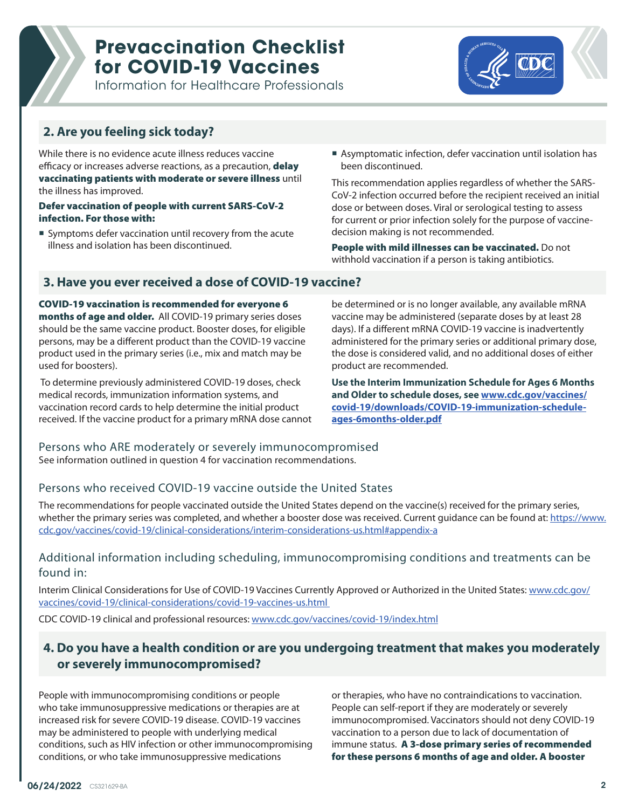Information for Healthcare Professionals



## **2. Are you feeling sick today?**

While there is no evidence acute illness reduces vaccine efficacy or increases adverse reactions, as a precaution, **delay** vaccinating patients with moderate or severe illness until the illness has improved.

#### Defer vaccination of people with current SARS-CoV-2 infection. For those with:

- Symptoms defer vaccination until recovery from the acute illness and isolation has been discontinued.
- Asymptomatic infection, defer vaccination until isolation has been discontinued.

This recommendation applies regardless of whether the SARS-CoV-2 infection occurred before the recipient received an initial dose or between doses. Viral or serological testing to assess for current or prior infection solely for the purpose of vaccinedecision making is not recommended.

People with mild illnesses can be vaccinated. Do not withhold vaccination if a person is taking antibiotics.

#### **3. Have you ever received a dose of COVID-19 vaccine?**

COVID-19 vaccination is recommended for everyone 6 months of age and older. All COVID-19 primary series doses should be the same vaccine product. Booster doses, for eligible persons, may be a different product than the COVID-19 vaccine product used in the primary series (i.e., mix and match may be used for boosters).

 To determine previously administered COVID-19 doses, check medical records, immunization information systems, and vaccination record cards to help determine the initial product received. If the vaccine product for a primary mRNA dose cannot be determined or is no longer available, any available mRNA vaccine may be administered (separate doses by at least 28 days). If a different mRNA COVID-19 vaccine is inadvertently administered for the primary series or additional primary dose, the dose is considered valid, and no additional doses of either product are recommended.

**Use the Interim Immunization Schedule for Ages 6 Months and Older to schedule doses, see [www.cdc.gov/vaccines/](https://www.cdc.gov/vaccines/covid-19/downloads/COVID-19-immunization-schedule-ages-6months-older.pdf) [covid-19/downloads/COVID-19-immunization-schedule](https://www.cdc.gov/vaccines/covid-19/downloads/COVID-19-immunization-schedule-ages-6months-older.pdf)[ages-6months-older.pdf](https://www.cdc.gov/vaccines/covid-19/downloads/COVID-19-immunization-schedule-ages-6months-older.pdf)**

# Persons who ARE moderately or severely immunocompromised

See information outlined in question 4 for vaccination recommendations.

#### Persons who received COVID-19 vaccine outside the United States

The recommendations for people vaccinated outside the United States depend on the vaccine(s) received for the primary series, whether the primary series was completed, and whether a booster dose was received. Current guidance can be found at: [https://www.](https://www.cdc.gov/vaccines/covid-19/clinical-considerations/interim-considerations-us.html#appendix-a) [cdc.gov/vaccines/covid-19/clinical-considerations/interim-considerations-us.html#appendix-a](https://www.cdc.gov/vaccines/covid-19/clinical-considerations/interim-considerations-us.html#appendix-a)

#### Additional information including scheduling, immunocompromising conditions and treatments can be found in:

Interim Clinical Considerations for Use of COVID-19 Vaccines Currently Approved or Authorized in the United States: [www.cdc.gov/](https://www.cdc.gov/vaccines/covid-19/clinical-considerations/covid-19-vaccines-us.html) [vaccines/covid-19/clinical-considerations/covid-19-vaccines-us.html](https://www.cdc.gov/vaccines/covid-19/clinical-considerations/covid-19-vaccines-us.html) 

CDC COVID-19 clinical and professional resources: [www.cdc.gov/vaccines/covid-19/index.html](https://www.cdc.gov/vaccines/covid-19/index.html)

## **4. Do you have a health condition or are you undergoing treatment that makes you moderately or severely immunocompromised?**

People with immunocompromising conditions or people who take immunosuppressive medications or therapies are at increased risk for severe COVID-19 disease. COVID-19 vaccines may be administered to people with underlying medical conditions, such as HIV infection or other immunocompromising conditions, or who take immunosuppressive medications

or therapies, who have no contraindications to vaccination. People can self-report if they are moderately or severely immunocompromised. Vaccinators should not deny COVID-19 vaccination to a person due to lack of documentation of immune status. A 3-dose primary series of recommended for these persons 6 months of age and older. A booster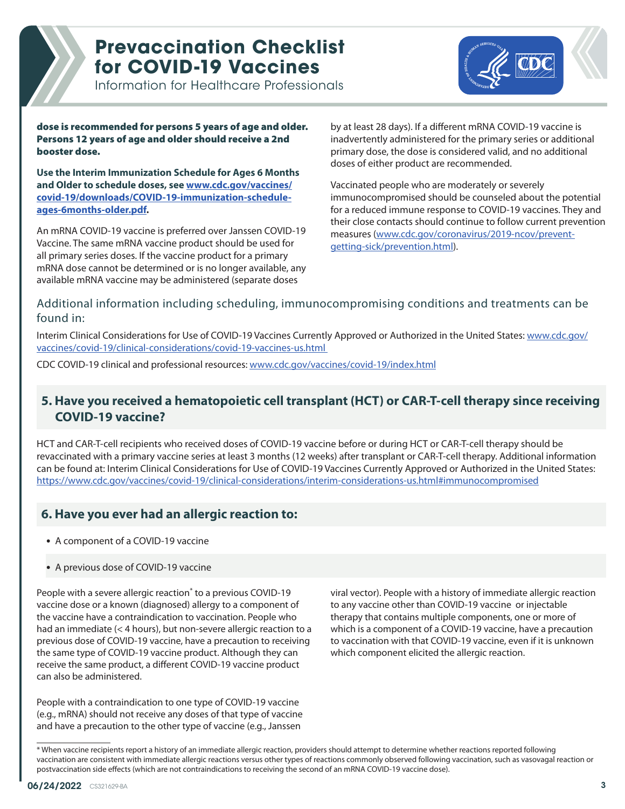Information for Healthcare Professionals



dose is recommended for persons 5 years of age and older. Persons 12 years of age and older should receive a 2nd booster dose.

**Use the Interim Immunization Schedule for Ages 6 Months and Older to schedule doses, see [www.cdc.gov/vaccines/](https://www.cdc.gov/vaccines/covid-19/downloads/COVID-19-immunization-schedule-ages-6months-older.pdf) [covid-19/downloads/COVID-19-immunization-schedule](https://www.cdc.gov/vaccines/covid-19/downloads/COVID-19-immunization-schedule-ages-6months-older.pdf)[ages-6months-older.pdf](https://www.cdc.gov/vaccines/covid-19/downloads/COVID-19-immunization-schedule-ages-6months-older.pdf).**

An mRNA COVID-19 vaccine is preferred over Janssen COVID-19 Vaccine. The same mRNA vaccine product should be used for all primary series doses. If the vaccine product for a primary mRNA dose cannot be determined or is no longer available, any available mRNA vaccine may be administered (separate doses

by at least 28 days). If a different mRNA COVID-19 vaccine is inadvertently administered for the primary series or additional primary dose, the dose is considered valid, and no additional doses of either product are recommended.

Vaccinated people who are moderately or severely immunocompromised should be counseled about the potential for a reduced immune response to COVID-19 vaccines. They and their close contacts should continue to follow current prevention measures ([www.cdc.gov/coronavirus/2019-ncov/prevent](https://www.cdc.gov/coronavirus/2019-ncov/prevent-getting-sick/prevention.html)[getting-sick/prevention.html](https://www.cdc.gov/coronavirus/2019-ncov/prevent-getting-sick/prevention.html)).

### Additional information including scheduling, immunocompromising conditions and treatments can be found in:

Interim Clinical Considerations for Use of COVID-19 Vaccines Currently Approved or Authorized in the United States: [www.cdc.gov/](https://www.cdc.gov/vaccines/covid-19/clinical-considerations/covid-19-vaccines-us.html) [vaccines/covid-19/clinical-considerations/covid-19-vaccines-us.html](https://www.cdc.gov/vaccines/covid-19/clinical-considerations/covid-19-vaccines-us.html) 

CDC COVID-19 clinical and professional resources: [www.cdc.gov/vaccines/covid-19/index.html](https://www.cdc.gov/vaccines/covid-19/index.html)

## **5. Have you received a hematopoietic cell transplant (HCT) or CAR-T-cell therapy since receiving COVID-19 vaccine?**

HCT and CAR-T-cell recipients who received doses of COVID-19 vaccine before or during HCT or CAR-T-cell therapy should be revaccinated with a primary vaccine series at least 3 months (12 weeks) after transplant or CAR-T-cell therapy. Additional information can be found at: Interim Clinical Considerations for Use of COVID-19 Vaccines Currently Approved or Authorized in the United States: [https://www.cdc.gov/vaccines/covid-19/clinical-considerations/interim-considerations-us.html#immunocompromised](https://www.cdc.gov/vaccines/covid-19/clinical-considerations/interim-considerations-us.html#immunoc)

# **6. Have you ever had an allergic reaction to:**

• A component of a COVID-19 vaccine

#### • A previous dose of COVID-19 vaccine

People with a severe allergic reaction<sup>\*</sup> to a previous COVID-19 vaccine dose or a known (diagnosed) allergy to a component of the vaccine have a contraindication to vaccination. People who had an immediate (< 4 hours), but non-severe allergic reaction to a previous dose of COVID-19 vaccine, have a precaution to receiving the same type of COVID-19 vaccine product. Although they can receive the same product, a different COVID-19 vaccine product can also be administered.

People with a contraindication to one type of COVID-19 vaccine (e.g., mRNA) should not receive any doses of that type of vaccine and have a precaution to the other type of vaccine (e.g., Janssen

viral vector). People with a history of immediate allergic reaction to any vaccine other than COVID-19 vaccine or injectable therapy that contains multiple components, one or more of which is a component of a COVID-19 vaccine, have a precaution to vaccination with that COVID-19 vaccine, even if it is unknown which component elicited the allergic reaction.

<sup>\*</sup> When vaccine recipients report a history of an immediate allergic reaction, providers should attempt to determine whether reactions reported following vaccination are consistent with immediate allergic reactions versus other types of reactions commonly observed following vaccination, such as vasovagal reaction or postvaccination side effects (which are not contraindications to receiving the second of an mRNA COVID-19 vaccine dose).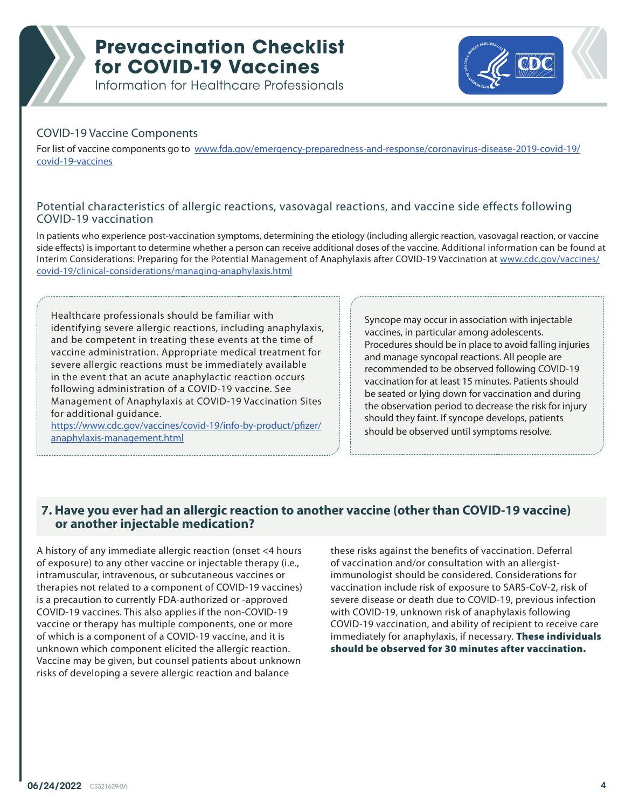Information for Healthcare Professionals



#### COVID-19 Vaccine Components

For list of vaccine components go to [www.fda.gov/emergency-preparedness-and-response/coronavirus-disease-2019-covid-19/](https://www.fda.gov/emergency-preparedness-and-response/coronavirus-disease-2019-covid-19/covid-19-vaccines) [covid-19-vaccines](https://www.fda.gov/emergency-preparedness-and-response/coronavirus-disease-2019-covid-19/covid-19-vaccines)

#### Potential characteristics of allergic reactions, vasovagal reactions, and vaccine side effects following COVID-19 vaccination

In patients who experience post-vaccination symptoms, determining the etiology (including allergic reaction, vasovagal reaction, or vaccine side effects) is important to determine whether a person can receive additional doses of the vaccine. Additional information can be found at Interim Considerations: Preparing for the Potential Management of Anaphylaxis after COVID-19 Vaccination at [www.cdc.gov/vaccines/](https://www.cdc.gov/vaccines/covid-19/clinical-considerations/managing-anaphylaxis.html) [covid-19/clinical-considerations/managing-anaphylaxis.html](https://www.cdc.gov/vaccines/covid-19/clinical-considerations/managing-anaphylaxis.html)

Healthcare professionals should be familiar with identifying severe allergic reactions, including anaphylaxis, and be competent in treating these events at the time of vaccine administration. Appropriate medical treatment for severe allergic reactions must be immediately available in the event that an acute anaphylactic reaction occurs following administration of a COVID-19 vaccine. See Management of Anaphylaxis at COVID-19 Vaccination Sites for additional guidance.

[https://www.cdc.gov/vaccines/covid-19/info-by-product/pfizer/](https://www.cdc.gov/vaccines/covid-19/info-by-product/pfizer/anaphylaxis-management.html) [anaphylaxis-management.html](https://www.cdc.gov/vaccines/covid-19/info-by-product/pfizer/anaphylaxis-management.html)

Syncope may occur in association with injectable vaccines, in particular among adolescents. Procedures should be in place to avoid falling injuries and manage syncopal reactions. All people are recommended to be observed following COVID-19 vaccination for at least 15 minutes. Patients should be seated or lying down for vaccination and during the observation period to decrease the risk for injury should they faint. If syncope develops, patients should be observed until symptoms resolve.

#### **7. Have you ever had an allergic reaction to another vaccine (other than COVID-19 vaccine) or another injectable medication?**

A history of any immediate allergic reaction (onset <4 hours of exposure) to any other vaccine or injectable therapy (i.e., intramuscular, intravenous, or subcutaneous vaccines or therapies not related to a component of COVID-19 vaccines) is a precaution to currently FDA-authorized or -approved COVID-19 vaccines. This also applies if the non-COVID-19 vaccine or therapy has multiple components, one or more of which is a component of a COVID-19 vaccine, and it is unknown which component elicited the allergic reaction. Vaccine may be given, but counsel patients about unknown risks of developing a severe allergic reaction and balance

these risks against the benefits of vaccination. Deferral of vaccination and/or consultation with an allergistimmunologist should be considered. Considerations for vaccination include risk of exposure to SARS-CoV-2, risk of severe disease or death due to COVID-19, previous infection with COVID-19, unknown risk of anaphylaxis following COVID-19 vaccination, and ability of recipient to receive care immediately for anaphylaxis, if necessary. These individuals should be observed for 30 minutes after vaccination.